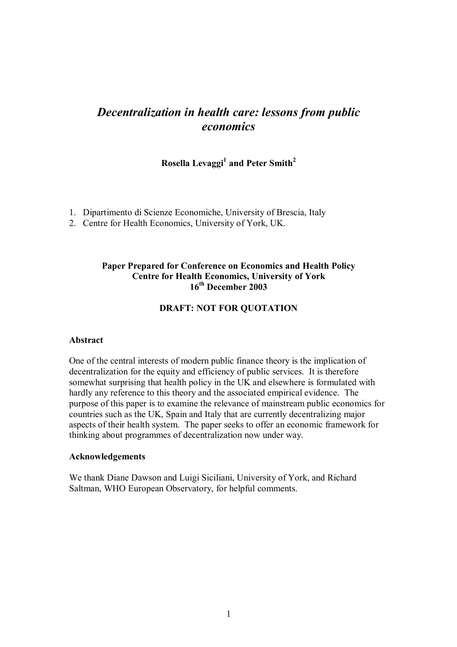# *Decentralization in health care: lessons from public economics*

# $\bf R$ osella Levaggi<sup>1</sup> and Peter Smith<sup>2</sup>

- 1. Dipartimento di Scienze Economiche, University of Brescia, Italy
- 2. Centre for Health Economics, University of York, UK.

### **Paper Prepared for Conference on Economics and Health Policy Centre for Health Economics, University of York 16th December 2003**

#### **DRAFT: NOT FOR QUOTATION**

#### **Abstract**

One of the central interests of modern public finance theory is the implication of decentralization for the equity and efficiency of public services. It is therefore somewhat surprising that health policy in the UK and elsewhere is formulated with hardly any reference to this theory and the associated empirical evidence. The purpose of this paper is to examine the relevance of mainstream public economics for countries such as the UK, Spain and Italy that are currently decentralizing major aspects of their health system. The paper seeks to offer an economic framework for thinking about programmes of decentralization now under way.

#### **Acknowledgements**

We thank Diane Dawson and Luigi Siciliani, University of York, and Richard Saltman, WHO European Observatory, for helpful comments.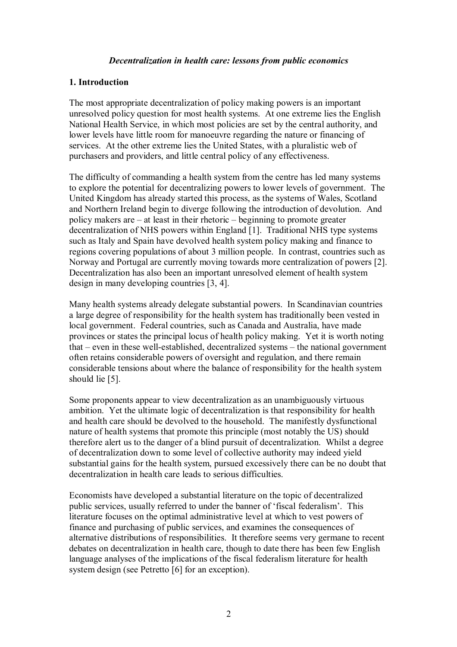## *Decentralization in health care: lessons from public economics*

### **1. Introduction**

The most appropriate decentralization of policy making powers is an important unresolved policy question for most health systems. At one extreme lies the English National Health Service, in which most policies are set by the central authority, and lower levels have little room for manoeuvre regarding the nature or financing of services. At the other extreme lies the United States, with a pluralistic web of purchasers and providers, and little central policy of any effectiveness.

The difficulty of commanding a health system from the centre has led many systems to explore the potential for decentralizing powers to lower levels of government. The United Kingdom has already started this process, as the systems of Wales, Scotland and Northern Ireland begin to diverge following the introduction of devolution. And policy makers are  $-\alpha$  least in their rhetoric  $-\alpha$  beginning to promote greater decentralization of NHS powers within England [1]. Traditional NHS type systems such as Italy and Spain have devolved health system policy making and finance to regions covering populations of about 3 million people. In contrast, countries such as Norway and Portugal are currently moving towards more centralization of powers [2]. Decentralization has also been an important unresolved element of health system design in many developing countries [3, 4].

Many health systems already delegate substantial powers. In Scandinavian countries a large degree of responsibility for the health system has traditionally been vested in local government. Federal countries, such as Canada and Australia, have made provinces or states the principal locus of health policy making. Yet it is worth noting  $that – even in these well-established, decentralized systems – the national government$ often retains considerable powers of oversight and regulation, and there remain considerable tensions about where the balance of responsibility for the health system should lie [5].

Some proponents appear to view decentralization as an unambiguously virtuous ambition. Yet the ultimate logic of decentralization is that responsibility for health and health care should be devolved to the household. The manifestly dysfunctional nature of health systems that promote this principle (most notably the US) should therefore alert us to the danger of a blind pursuit of decentralization. Whilst a degree of decentralization down to some level of collective authority may indeed yield substantial gains for the health system, pursued excessively there can be no doubt that decentralization in health care leads to serious difficulties.

Economists have developed a substantial literature on the topic of decentralized public services, usually referred to under the banner of 'fiscal federalism'. This literature focuses on the optimal administrative level at which to vest powers of finance and purchasing of public services, and examines the consequences of alternative distributions of responsibilities. It therefore seems very germane to recent debates on decentralization in health care, though to date there has been few English language analyses of the implications of the fiscal federalism literature for health system design (see Petretto [6] for an exception).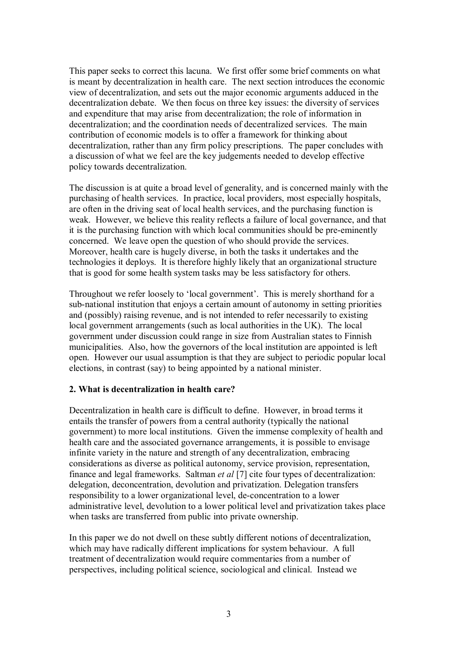This paper seeks to correct this lacuna. We first offer some brief comments on what is meant by decentralization in health care. The next section introduces the economic view of decentralization, and sets out the major economic arguments adduced in the decentralization debate. We then focus on three key issues: the diversity of services and expenditure that may arise from decentralization; the role of information in decentralization; and the coordination needs of decentralized services. The main contribution of economic models is to offer a framework for thinking about decentralization, rather than any firm policy prescriptions. The paper concludes with a discussion of what we feel are the key judgements needed to develop effective policy towards decentralization.

The discussion is at quite a broad level of generality, and is concerned mainly with the purchasing of health services. In practice, local providers, most especially hospitals, are often in the driving seat of local health services, and the purchasing function is weak. However, we believe this reality reflects a failure of local governance, and that it is the purchasing function with which local communities should be pre-eminently concerned. We leave open the question of who should provide the services. Moreover, health care is hugely diverse, in both the tasks it undertakes and the technologies it deploys. It is therefore highly likely that an organizational structure that is good for some health system tasks may be less satisfactory for others.

Throughout we refer loosely to 'local government'. This is merely shorthand for a sub-national institution that enjoys a certain amount of autonomy in setting priorities and (possibly) raising revenue, and is not intended to refer necessarily to existing local government arrangements (such as local authorities in the UK). The local government under discussion could range in size from Australian states to Finnish municipalities. Also, how the governors of the local institution are appointed is left open. However our usual assumption is that they are subject to periodic popular local elections, in contrast (say) to being appointed by a national minister.

#### **2. What is decentralization in health care?**

Decentralization in health care is difficult to define. However, in broad terms it entails the transfer of powers from a central authority (typically the national government) to more local institutions. Given the immense complexity of health and health care and the associated governance arrangements, it is possible to envisage infinite variety in the nature and strength of any decentralization, embracing considerations as diverse as political autonomy, service provision, representation, finance and legal frameworks. Saltman *et al* [7] cite four types of decentralization: delegation, deconcentration, devolution and privatization. Delegation transfers responsibility to a lower organizational level, de-concentration to a lower administrative level, devolution to a lower political level and privatization takes place when tasks are transferred from public into private ownership.

In this paper we do not dwell on these subtly different notions of decentralization, which may have radically different implications for system behaviour. A full treatment of decentralization would require commentaries from a number of perspectives, including political science, sociological and clinical. Instead we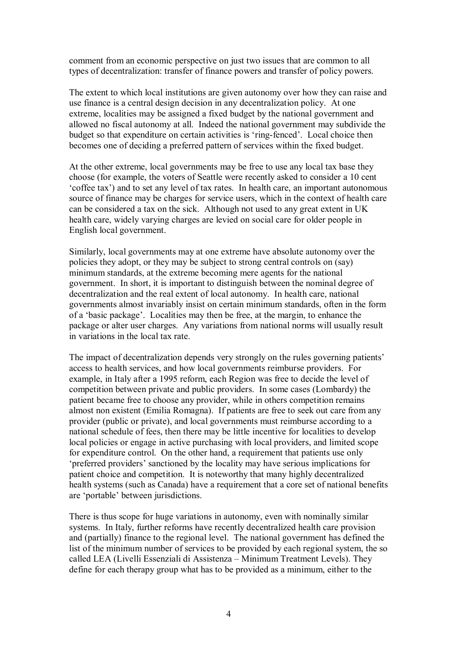comment from an economic perspective on just two issues that are common to all types of decentralization: transfer of finance powers and transfer of policy powers.

The extent to which local institutions are given autonomy over how they can raise and use finance is a central design decision in any decentralization policy. At one extreme, localities may be assigned a fixed budget by the national government and allowed no fiscal autonomy at all. Indeed the national government may subdivide the budget so that expenditure on certain activities is 'ring-fenced'. Local choice then becomes one of deciding a preferred pattern of services within the fixed budget.

At the other extreme, local governments may be free to use any local tax base they choose (for example, the voters of Seattle were recently asked to consider a 10 cent ëcoffee taxí) and to set any level of tax rates. In health care, an important autonomous source of finance may be charges for service users, which in the context of health care can be considered a tax on the sick. Although not used to any great extent in UK health care, widely varying charges are levied on social care for older people in English local government.

Similarly, local governments may at one extreme have absolute autonomy over the policies they adopt, or they may be subject to strong central controls on (say) minimum standards, at the extreme becoming mere agents for the national government. In short, it is important to distinguish between the nominal degree of decentralization and the real extent of local autonomy. In health care, national governments almost invariably insist on certain minimum standards, often in the form of a 'basic package'. Localities may then be free, at the margin, to enhance the package or alter user charges. Any variations from national norms will usually result in variations in the local tax rate.

The impact of decentralization depends very strongly on the rules governing patients<sup>7</sup> access to health services, and how local governments reimburse providers. For example, in Italy after a 1995 reform, each Region was free to decide the level of competition between private and public providers. In some cases (Lombardy) the patient became free to choose any provider, while in others competition remains almost non existent (Emilia Romagna). If patients are free to seek out care from any provider (public or private), and local governments must reimburse according to a national schedule of fees, then there may be little incentive for localities to develop local policies or engage in active purchasing with local providers, and limited scope for expenditure control. On the other hand, a requirement that patients use only ëpreferred providersí sanctioned by the locality may have serious implications for patient choice and competition. It is noteworthy that many highly decentralized health systems (such as Canada) have a requirement that a core set of national benefits are 'portable' between jurisdictions.

There is thus scope for huge variations in autonomy, even with nominally similar systems. In Italy, further reforms have recently decentralized health care provision and (partially) finance to the regional level. The national government has defined the list of the minimum number of services to be provided by each regional system, the so called LEA (Livelli Essenziali di Assistenza – Minimum Treatment Levels). They define for each therapy group what has to be provided as a minimum, either to the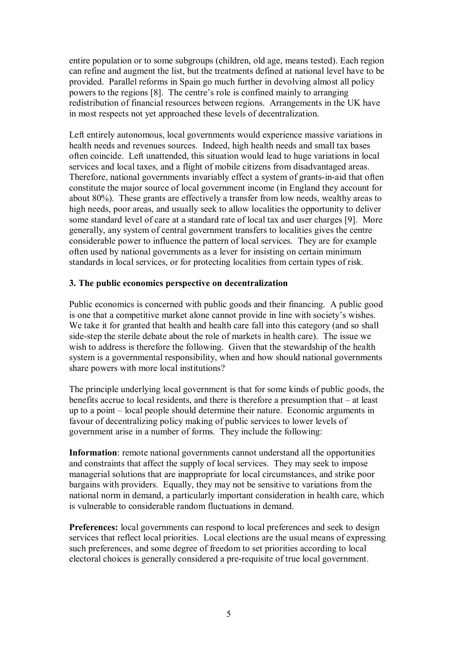entire population or to some subgroups (children, old age, means tested). Each region can refine and augment the list, but the treatments defined at national level have to be provided. Parallel reforms in Spain go much further in devolving almost all policy powers to the regions [8]. The centre's role is confined mainly to arranging redistribution of financial resources between regions. Arrangements in the UK have in most respects not yet approached these levels of decentralization.

Left entirely autonomous, local governments would experience massive variations in health needs and revenues sources. Indeed, high health needs and small tax bases often coincide. Left unattended, this situation would lead to huge variations in local services and local taxes, and a flight of mobile citizens from disadvantaged areas. Therefore, national governments invariably effect a system of grants-in-aid that often constitute the major source of local government income (in England they account for about 80%). These grants are effectively a transfer from low needs, wealthy areas to high needs, poor areas, and usually seek to allow localities the opportunity to deliver some standard level of care at a standard rate of local tax and user charges [9]. More generally, any system of central government transfers to localities gives the centre considerable power to influence the pattern of local services. They are for example often used by national governments as a lever for insisting on certain minimum standards in local services, or for protecting localities from certain types of risk.

## **3. The public economics perspective on decentralization**

Public economics is concerned with public goods and their financing. A public good is one that a competitive market alone cannot provide in line with society's wishes. We take it for granted that health and health care fall into this category (and so shall side-step the sterile debate about the role of markets in health care). The issue we wish to address is therefore the following. Given that the stewardship of the health system is a governmental responsibility, when and how should national governments share powers with more local institutions?

The principle underlying local government is that for some kinds of public goods, the benefits accrue to local residents, and there is therefore a presumption that  $-$  at least up to a point  $-\text{local people should determine their nature. Economic arguments in }$ favour of decentralizing policy making of public services to lower levels of government arise in a number of forms. They include the following:

**Information**: remote national governments cannot understand all the opportunities and constraints that affect the supply of local services. They may seek to impose managerial solutions that are inappropriate for local circumstances, and strike poor bargains with providers. Equally, they may not be sensitive to variations from the national norm in demand, a particularly important consideration in health care, which is vulnerable to considerable random fluctuations in demand.

**Preferences:** local governments can respond to local preferences and seek to design services that reflect local priorities. Local elections are the usual means of expressing such preferences, and some degree of freedom to set priorities according to local electoral choices is generally considered a pre-requisite of true local government.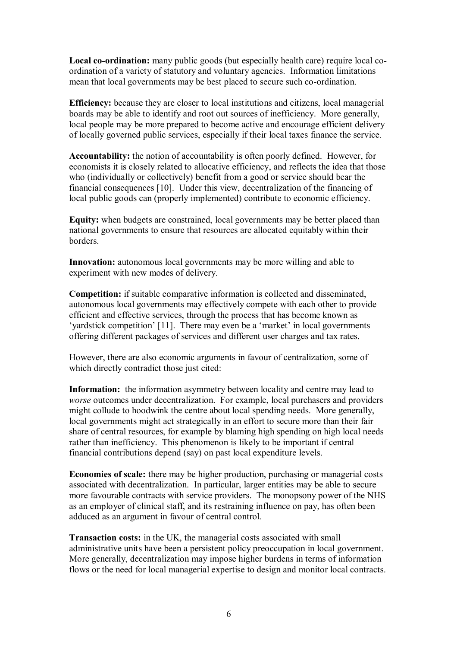**Local co-ordination:** many public goods (but especially health care) require local coordination of a variety of statutory and voluntary agencies. Information limitations mean that local governments may be best placed to secure such co-ordination.

**Efficiency:** because they are closer to local institutions and citizens, local managerial boards may be able to identify and root out sources of inefficiency. More generally, local people may be more prepared to become active and encourage efficient delivery of locally governed public services, especially if their local taxes finance the service.

**Accountability:** the notion of accountability is often poorly defined. However, for economists it is closely related to allocative efficiency, and reflects the idea that those who (individually or collectively) benefit from a good or service should bear the financial consequences [10]. Under this view, decentralization of the financing of local public goods can (properly implemented) contribute to economic efficiency.

**Equity:** when budgets are constrained, local governments may be better placed than national governments to ensure that resources are allocated equitably within their borders.

**Innovation:** autonomous local governments may be more willing and able to experiment with new modes of delivery.

**Competition:** if suitable comparative information is collected and disseminated, autonomous local governments may effectively compete with each other to provide efficient and effective services, through the process that has become known as 'vardstick competition'  $[11]$ . There may even be a 'market' in local governments offering different packages of services and different user charges and tax rates.

However, there are also economic arguments in favour of centralization, some of which directly contradict those just cited:

**Information:** the information asymmetry between locality and centre may lead to *worse* outcomes under decentralization. For example, local purchasers and providers might collude to hoodwink the centre about local spending needs. More generally, local governments might act strategically in an effort to secure more than their fair share of central resources, for example by blaming high spending on high local needs rather than inefficiency. This phenomenon is likely to be important if central financial contributions depend (say) on past local expenditure levels.

**Economies of scale:** there may be higher production, purchasing or managerial costs associated with decentralization. In particular, larger entities may be able to secure more favourable contracts with service providers. The monopsony power of the NHS as an employer of clinical staff, and its restraining influence on pay, has often been adduced as an argument in favour of central control.

**Transaction costs:** in the UK, the managerial costs associated with small administrative units have been a persistent policy preoccupation in local government. More generally, decentralization may impose higher burdens in terms of information flows or the need for local managerial expertise to design and monitor local contracts.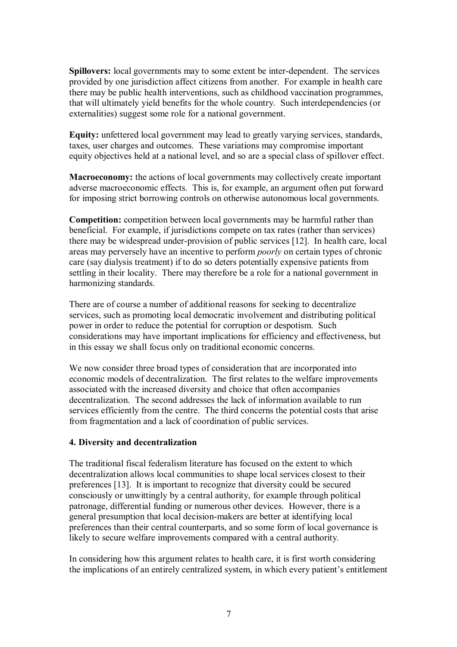**Spillovers:** local governments may to some extent be inter-dependent. The services provided by one jurisdiction affect citizens from another. For example in health care there may be public health interventions, such as childhood vaccination programmes, that will ultimately yield benefits for the whole country. Such interdependencies (or externalities) suggest some role for a national government.

**Equity:** unfettered local government may lead to greatly varying services, standards, taxes, user charges and outcomes. These variations may compromise important equity objectives held at a national level, and so are a special class of spillover effect.

**Macroeconomy:** the actions of local governments may collectively create important adverse macroeconomic effects. This is, for example, an argument often put forward for imposing strict borrowing controls on otherwise autonomous local governments.

**Competition:** competition between local governments may be harmful rather than beneficial. For example, if jurisdictions compete on tax rates (rather than services) there may be widespread under-provision of public services [12]. In health care, local areas may perversely have an incentive to perform *poorly* on certain types of chronic care (say dialysis treatment) if to do so deters potentially expensive patients from settling in their locality. There may therefore be a role for a national government in harmonizing standards.

There are of course a number of additional reasons for seeking to decentralize services, such as promoting local democratic involvement and distributing political power in order to reduce the potential for corruption or despotism. Such considerations may have important implications for efficiency and effectiveness, but in this essay we shall focus only on traditional economic concerns.

We now consider three broad types of consideration that are incorporated into economic models of decentralization. The first relates to the welfare improvements associated with the increased diversity and choice that often accompanies decentralization. The second addresses the lack of information available to run services efficiently from the centre. The third concerns the potential costs that arise from fragmentation and a lack of coordination of public services.

#### **4. Diversity and decentralization**

The traditional fiscal federalism literature has focused on the extent to which decentralization allows local communities to shape local services closest to their preferences [13]. It is important to recognize that diversity could be secured consciously or unwittingly by a central authority, for example through political patronage, differential funding or numerous other devices. However, there is a general presumption that local decision-makers are better at identifying local preferences than their central counterparts, and so some form of local governance is likely to secure welfare improvements compared with a central authority.

In considering how this argument relates to health care, it is first worth considering the implications of an entirely centralized system, in which every patient's entitlement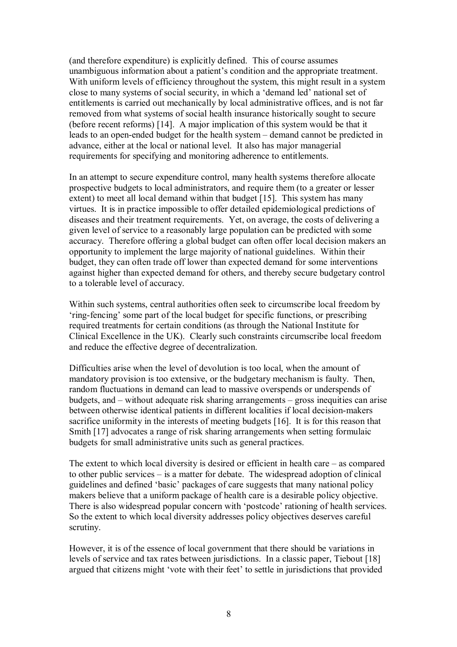(and therefore expenditure) is explicitly defined. This of course assumes unambiguous information about a patient's condition and the appropriate treatment. With uniform levels of efficiency throughout the system, this might result in a system close to many systems of social security, in which a 'demand led' national set of entitlements is carried out mechanically by local administrative offices, and is not far removed from what systems of social health insurance historically sought to secure (before recent reforms) [14]. A major implication of this system would be that it leads to an open-ended budget for the health system – demand cannot be predicted in advance, either at the local or national level. It also has major managerial requirements for specifying and monitoring adherence to entitlements.

In an attempt to secure expenditure control, many health systems therefore allocate prospective budgets to local administrators, and require them (to a greater or lesser extent) to meet all local demand within that budget [15]. This system has many virtues. It is in practice impossible to offer detailed epidemiological predictions of diseases and their treatment requirements. Yet, on average, the costs of delivering a given level of service to a reasonably large population can be predicted with some accuracy. Therefore offering a global budget can often offer local decision makers an opportunity to implement the large majority of national guidelines. Within their budget, they can often trade off lower than expected demand for some interventions against higher than expected demand for others, and thereby secure budgetary control to a tolerable level of accuracy.

Within such systems, central authorities often seek to circumscribe local freedom by ëring-fencingí some part of the local budget for specific functions, or prescribing required treatments for certain conditions (as through the National Institute for Clinical Excellence in the UK). Clearly such constraints circumscribe local freedom and reduce the effective degree of decentralization.

Difficulties arise when the level of devolution is too local, when the amount of mandatory provision is too extensive, or the budgetary mechanism is faulty. Then, random fluctuations in demand can lead to massive overspends or underspends of budgets, and  $-$  without adequate risk sharing arrangements  $-$  gross inequities can arise between otherwise identical patients in different localities if local decision-makers sacrifice uniformity in the interests of meeting budgets [16]. It is for this reason that Smith [17] advocates a range of risk sharing arrangements when setting formulaic budgets for small administrative units such as general practices.

The extent to which local diversity is desired or efficient in health care  $-$  as compared to other public services  $-$  is a matter for debate. The widespread adoption of clinical guidelines and defined 'basic' packages of care suggests that many national policy makers believe that a uniform package of health care is a desirable policy objective. There is also widespread popular concern with 'postcode' rationing of health services. So the extent to which local diversity addresses policy objectives deserves careful scrutiny.

However, it is of the essence of local government that there should be variations in levels of service and tax rates between jurisdictions. In a classic paper, Tiebout [18] argued that citizens might 'vote with their feet' to settle in jurisdictions that provided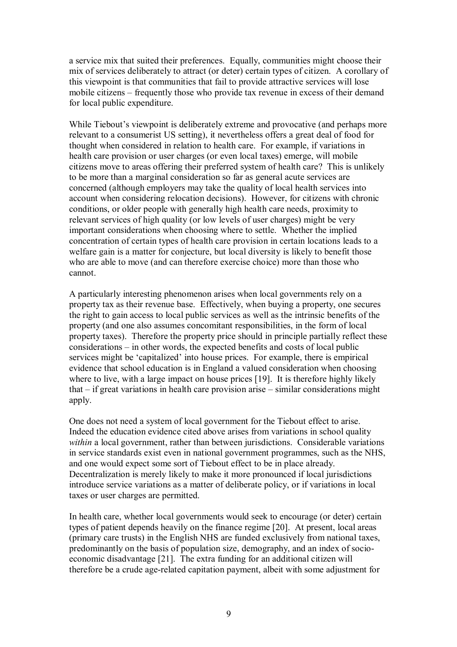a service mix that suited their preferences. Equally, communities might choose their mix of services deliberately to attract (or deter) certain types of citizen. A corollary of this viewpoint is that communities that fail to provide attractive services will lose mobile citizens – frequently those who provide tax revenue in excess of their demand for local public expenditure.

While Tiebout's viewpoint is deliberately extreme and provocative (and perhaps more relevant to a consumerist US setting), it nevertheless offers a great deal of food for thought when considered in relation to health care. For example, if variations in health care provision or user charges (or even local taxes) emerge, will mobile citizens move to areas offering their preferred system of health care? This is unlikely to be more than a marginal consideration so far as general acute services are concerned (although employers may take the quality of local health services into account when considering relocation decisions). However, for citizens with chronic conditions, or older people with generally high health care needs, proximity to relevant services of high quality (or low levels of user charges) might be very important considerations when choosing where to settle. Whether the implied concentration of certain types of health care provision in certain locations leads to a welfare gain is a matter for conjecture, but local diversity is likely to benefit those who are able to move (and can therefore exercise choice) more than those who cannot.

A particularly interesting phenomenon arises when local governments rely on a property tax as their revenue base. Effectively, when buying a property, one secures the right to gain access to local public services as well as the intrinsic benefits of the property (and one also assumes concomitant responsibilities, in the form of local property taxes). Therefore the property price should in principle partially reflect these  $considerations – in other words, the expected benefits and costs of local public$ services might be 'capitalized' into house prices. For example, there is empirical evidence that school education is in England a valued consideration when choosing where to live, with a large impact on house prices [19]. It is therefore highly likely that  $-$  if great variations in health care provision arise  $-$  similar considerations might apply.

One does not need a system of local government for the Tiebout effect to arise. Indeed the education evidence cited above arises from variations in school quality *within* a local government, rather than between jurisdictions. Considerable variations in service standards exist even in national government programmes, such as the NHS, and one would expect some sort of Tiebout effect to be in place already. Decentralization is merely likely to make it more pronounced if local jurisdictions introduce service variations as a matter of deliberate policy, or if variations in local taxes or user charges are permitted.

In health care, whether local governments would seek to encourage (or deter) certain types of patient depends heavily on the finance regime [20]. At present, local areas (primary care trusts) in the English NHS are funded exclusively from national taxes, predominantly on the basis of population size, demography, and an index of socioeconomic disadvantage [21]. The extra funding for an additional citizen will therefore be a crude age-related capitation payment, albeit with some adjustment for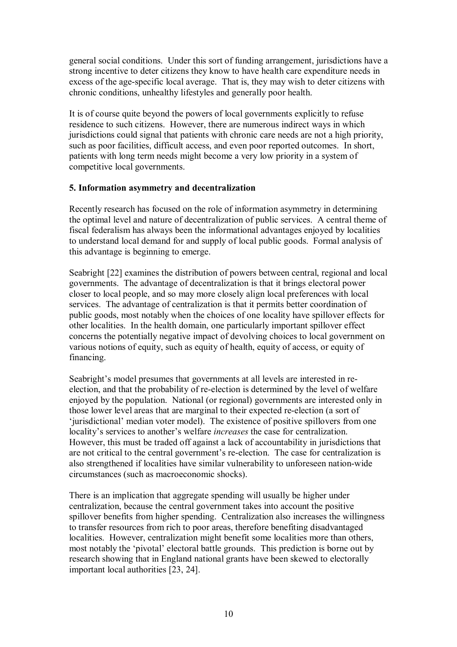general social conditions. Under this sort of funding arrangement, jurisdictions have a strong incentive to deter citizens they know to have health care expenditure needs in excess of the age-specific local average. That is, they may wish to deter citizens with chronic conditions, unhealthy lifestyles and generally poor health.

It is of course quite beyond the powers of local governments explicitly to refuse residence to such citizens. However, there are numerous indirect ways in which jurisdictions could signal that patients with chronic care needs are not a high priority, such as poor facilities, difficult access, and even poor reported outcomes. In short, patients with long term needs might become a very low priority in a system of competitive local governments.

# **5. Information asymmetry and decentralization**

Recently research has focused on the role of information asymmetry in determining the optimal level and nature of decentralization of public services. A central theme of fiscal federalism has always been the informational advantages enjoyed by localities to understand local demand for and supply of local public goods. Formal analysis of this advantage is beginning to emerge.

Seabright [22] examines the distribution of powers between central, regional and local governments. The advantage of decentralization is that it brings electoral power closer to local people, and so may more closely align local preferences with local services. The advantage of centralization is that it permits better coordination of public goods, most notably when the choices of one locality have spillover effects for other localities. In the health domain, one particularly important spillover effect concerns the potentially negative impact of devolving choices to local government on various notions of equity, such as equity of health, equity of access, or equity of financing.

Seabright's model presumes that governments at all levels are interested in reelection, and that the probability of re-election is determined by the level of welfare enjoyed by the population. National (or regional) governments are interested only in those lower level areas that are marginal to their expected re-election (a sort of 'jurisdictional' median voter model). The existence of positive spillovers from one locality's services to another's welfare *increases* the case for centralization. However, this must be traded off against a lack of accountability in jurisdictions that are not critical to the central government's re-election. The case for centralization is also strengthened if localities have similar vulnerability to unforeseen nation-wide circumstances (such as macroeconomic shocks).

There is an implication that aggregate spending will usually be higher under centralization, because the central government takes into account the positive spillover benefits from higher spending. Centralization also increases the willingness to transfer resources from rich to poor areas, therefore benefiting disadvantaged localities. However, centralization might benefit some localities more than others, most notably the 'pivotal' electoral battle grounds. This prediction is borne out by research showing that in England national grants have been skewed to electorally important local authorities [23, 24].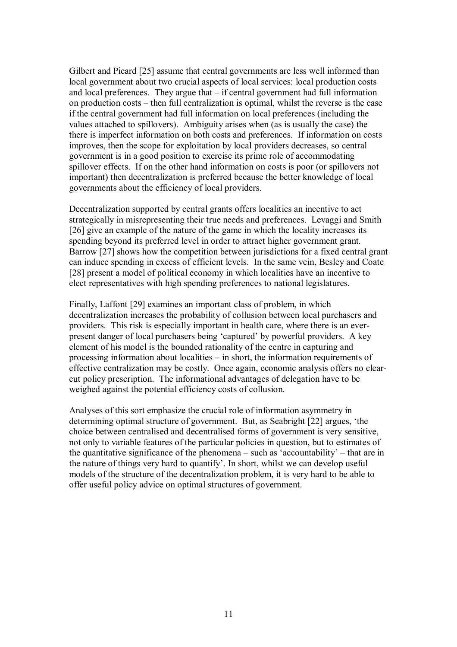Gilbert and Picard [25] assume that central governments are less well informed than local government about two crucial aspects of local services: local production costs and local preferences. They argue that  $-i$  if central government had full information on production costs – then full centralization is optimal, whilst the reverse is the case if the central government had full information on local preferences (including the values attached to spillovers). Ambiguity arises when (as is usually the case) the there is imperfect information on both costs and preferences. If information on costs improves, then the scope for exploitation by local providers decreases, so central government is in a good position to exercise its prime role of accommodating spillover effects. If on the other hand information on costs is poor (or spillovers not important) then decentralization is preferred because the better knowledge of local governments about the efficiency of local providers.

Decentralization supported by central grants offers localities an incentive to act strategically in misrepresenting their true needs and preferences. Levaggi and Smith [26] give an example of the nature of the game in which the locality increases its spending beyond its preferred level in order to attract higher government grant. Barrow [27] shows how the competition between jurisdictions for a fixed central grant can induce spending in excess of efficient levels. In the same vein, Besley and Coate [28] present a model of political economy in which localities have an incentive to elect representatives with high spending preferences to national legislatures.

Finally, Laffont [29] examines an important class of problem, in which decentralization increases the probability of collusion between local purchasers and providers. This risk is especially important in health care, where there is an everpresent danger of local purchasers being 'captured' by powerful providers. A key element of his model is the bounded rationality of the centre in capturing and processing information about localities – in short, the information requirements of effective centralization may be costly. Once again, economic analysis offers no clearcut policy prescription. The informational advantages of delegation have to be weighed against the potential efficiency costs of collusion.

Analyses of this sort emphasize the crucial role of information asymmetry in determining optimal structure of government. But, as Seabright [22] argues, ëthe choice between centralised and decentralised forms of government is very sensitive, not only to variable features of the particular policies in question, but to estimates of the quantitative significance of the phenomena  $-$  such as 'accountability'  $-$  that are in the nature of things very hard to quantify'. In short, whilst we can develop useful models of the structure of the decentralization problem, it is very hard to be able to offer useful policy advice on optimal structures of government.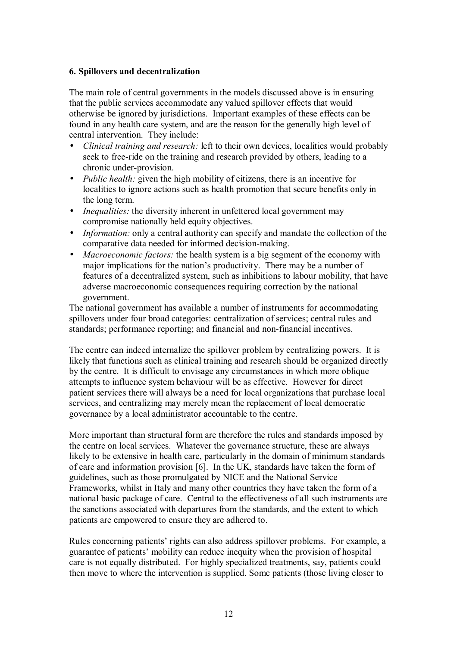### **6. Spillovers and decentralization**

The main role of central governments in the models discussed above is in ensuring that the public services accommodate any valued spillover effects that would otherwise be ignored by jurisdictions. Important examples of these effects can be found in any health care system, and are the reason for the generally high level of central intervention. They include:

- *Clinical training and research:* left to their own devices, localities would probably seek to free-ride on the training and research provided by others, leading to a chronic under-provision.
- *Public health:* given the high mobility of citizens, there is an incentive for localities to ignore actions such as health promotion that secure benefits only in the long term.
- *Inequalities:* the diversity inherent in unfettered local government may compromise nationally held equity objectives.
- *Information:* only a central authority can specify and mandate the collection of the comparative data needed for informed decision-making.
- *Macroeconomic factors:* the health system is a big segment of the economy with major implications for the nation's productivity. There may be a number of features of a decentralized system, such as inhibitions to labour mobility, that have adverse macroeconomic consequences requiring correction by the national government.

The national government has available a number of instruments for accommodating spillovers under four broad categories: centralization of services; central rules and standards; performance reporting; and financial and non-financial incentives.

The centre can indeed internalize the spillover problem by centralizing powers. It is likely that functions such as clinical training and research should be organized directly by the centre. It is difficult to envisage any circumstances in which more oblique attempts to influence system behaviour will be as effective. However for direct patient services there will always be a need for local organizations that purchase local services, and centralizing may merely mean the replacement of local democratic governance by a local administrator accountable to the centre.

More important than structural form are therefore the rules and standards imposed by the centre on local services. Whatever the governance structure, these are always likely to be extensive in health care, particularly in the domain of minimum standards of care and information provision [6]. In the UK, standards have taken the form of guidelines, such as those promulgated by NICE and the National Service Frameworks, whilst in Italy and many other countries they have taken the form of a national basic package of care. Central to the effectiveness of all such instruments are the sanctions associated with departures from the standards, and the extent to which patients are empowered to ensure they are adhered to.

Rules concerning patients' rights can also address spillover problems. For example, a guarantee of patients' mobility can reduce inequity when the provision of hospital care is not equally distributed. For highly specialized treatments, say, patients could then move to where the intervention is supplied. Some patients (those living closer to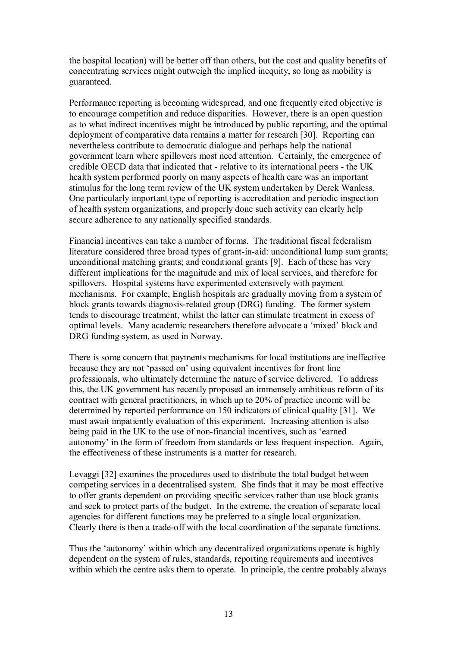the hospital location) will be better off than others, but the cost and quality benefits of concentrating services might outweigh the implied inequity, so long as mobility is guaranteed.

Performance reporting is becoming widespread, and one frequently cited objective is to encourage competition and reduce disparities. However, there is an open question as to what indirect incentives might be introduced by public reporting, and the optimal deployment of comparative data remains a matter for research [30]. Reporting can nevertheless contribute to democratic dialogue and perhaps help the national government learn where spillovers most need attention. Certainly, the emergence of credible OECD data that indicated that - relative to its international peers - the UK health system performed poorly on many aspects of health care was an important stimulus for the long term review of the UK system undertaken by Derek Wanless. One particularly important type of reporting is accreditation and periodic inspection of health system organizations, and properly done such activity can clearly help secure adherence to any nationally specified standards.

Financial incentives can take a number of forms. The traditional fiscal federalism literature considered three broad types of grant-in-aid: unconditional lump sum grants; unconditional matching grants; and conditional grants [9]. Each of these has very different implications for the magnitude and mix of local services, and therefore for spillovers. Hospital systems have experimented extensively with payment mechanisms. For example, English hospitals are gradually moving from a system of block grants towards diagnosis-related group (DRG) funding. The former system tends to discourage treatment, whilst the latter can stimulate treatment in excess of optimal levels. Many academic researchers therefore advocate a 'mixed' block and DRG funding system, as used in Norway.

There is some concern that payments mechanisms for local institutions are ineffective because they are not 'passed on' using equivalent incentives for front line professionals, who ultimately determine the nature of service delivered. To address this, the UK government has recently proposed an immensely ambitious reform of its contract with general practitioners, in which up to 20% of practice income will be determined by reported performance on 150 indicators of clinical quality [31]. We must await impatiently evaluation of this experiment. Increasing attention is also being paid in the UK to the use of non-financial incentives, such as 'earned autonomyí in the form of freedom from standards or less frequent inspection. Again, the effectiveness of these instruments is a matter for research.

Levaggi [32] examines the procedures used to distribute the total budget between competing services in a decentralised system. She finds that it may be most effective to offer grants dependent on providing specific services rather than use block grants and seek to protect parts of the budget. In the extreme, the creation of separate local agencies for different functions may be preferred to a single local organization. Clearly there is then a trade-off with the local coordination of the separate functions.

Thus the 'autonomy' within which any decentralized organizations operate is highly dependent on the system of rules, standards, reporting requirements and incentives within which the centre asks them to operate. In principle, the centre probably always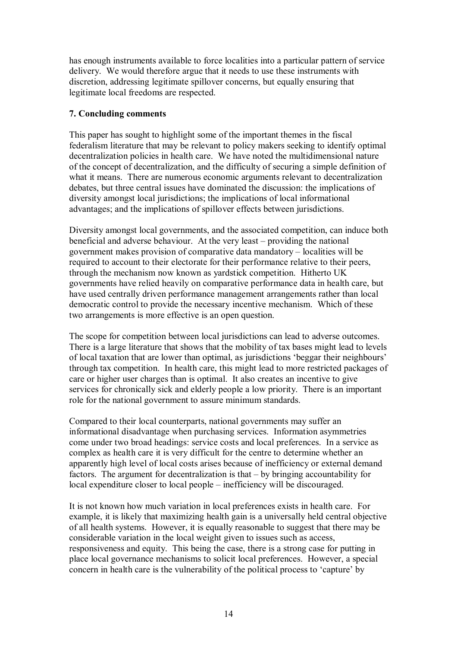has enough instruments available to force localities into a particular pattern of service delivery. We would therefore argue that it needs to use these instruments with discretion, addressing legitimate spillover concerns, but equally ensuring that legitimate local freedoms are respected.

# **7. Concluding comments**

This paper has sought to highlight some of the important themes in the fiscal federalism literature that may be relevant to policy makers seeking to identify optimal decentralization policies in health care. We have noted the multidimensional nature of the concept of decentralization, and the difficulty of securing a simple definition of what it means. There are numerous economic arguments relevant to decentralization debates, but three central issues have dominated the discussion: the implications of diversity amongst local jurisdictions; the implications of local informational advantages; and the implications of spillover effects between jurisdictions.

Diversity amongst local governments, and the associated competition, can induce both beneficial and adverse behaviour. At the very least  $-$  providing the national government makes provision of comparative data mandatory  $-$  localities will be required to account to their electorate for their performance relative to their peers, through the mechanism now known as yardstick competition. Hitherto UK governments have relied heavily on comparative performance data in health care, but have used centrally driven performance management arrangements rather than local democratic control to provide the necessary incentive mechanism. Which of these two arrangements is more effective is an open question.

The scope for competition between local jurisdictions can lead to adverse outcomes. There is a large literature that shows that the mobility of tax bases might lead to levels of local taxation that are lower than optimal, as jurisdictions 'beggar their neighbours' through tax competition. In health care, this might lead to more restricted packages of care or higher user charges than is optimal. It also creates an incentive to give services for chronically sick and elderly people a low priority. There is an important role for the national government to assure minimum standards.

Compared to their local counterparts, national governments may suffer an informational disadvantage when purchasing services. Information asymmetries come under two broad headings: service costs and local preferences. In a service as complex as health care it is very difficult for the centre to determine whether an apparently high level of local costs arises because of inefficiency or external demand factors. The argument for decentralization is that  $-$  by bringing accountability for local expenditure closer to local people – inefficiency will be discouraged.

It is not known how much variation in local preferences exists in health care. For example, it is likely that maximizing health gain is a universally held central objective of all health systems. However, it is equally reasonable to suggest that there may be considerable variation in the local weight given to issues such as access, responsiveness and equity. This being the case, there is a strong case for putting in place local governance mechanisms to solicit local preferences. However, a special concern in health care is the vulnerability of the political process to 'capture' by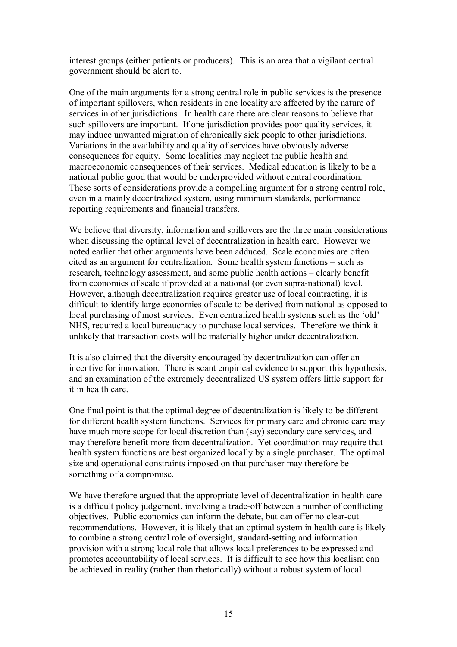interest groups (either patients or producers). This is an area that a vigilant central government should be alert to.

One of the main arguments for a strong central role in public services is the presence of important spillovers, when residents in one locality are affected by the nature of services in other jurisdictions. In health care there are clear reasons to believe that such spillovers are important. If one jurisdiction provides poor quality services, it may induce unwanted migration of chronically sick people to other jurisdictions. Variations in the availability and quality of services have obviously adverse consequences for equity. Some localities may neglect the public health and macroeconomic consequences of their services. Medical education is likely to be a national public good that would be underprovided without central coordination. These sorts of considerations provide a compelling argument for a strong central role, even in a mainly decentralized system, using minimum standards, performance reporting requirements and financial transfers.

We believe that diversity, information and spillovers are the three main considerations when discussing the optimal level of decentralization in health care. However we noted earlier that other arguments have been adduced. Scale economies are often cited as an argument for centralization. Some health system functions  $-$  such as research, technology assessment, and some public health actions – clearly benefit from economies of scale if provided at a national (or even supra-national) level. However, although decentralization requires greater use of local contracting, it is difficult to identify large economies of scale to be derived from national as opposed to local purchasing of most services. Even centralized health systems such as the 'old' NHS, required a local bureaucracy to purchase local services. Therefore we think it unlikely that transaction costs will be materially higher under decentralization.

It is also claimed that the diversity encouraged by decentralization can offer an incentive for innovation. There is scant empirical evidence to support this hypothesis, and an examination of the extremely decentralized US system offers little support for it in health care.

One final point is that the optimal degree of decentralization is likely to be different for different health system functions. Services for primary care and chronic care may have much more scope for local discretion than (say) secondary care services, and may therefore benefit more from decentralization. Yet coordination may require that health system functions are best organized locally by a single purchaser. The optimal size and operational constraints imposed on that purchaser may therefore be something of a compromise.

We have therefore argued that the appropriate level of decentralization in health care is a difficult policy judgement, involving a trade-off between a number of conflicting objectives. Public economics can inform the debate, but can offer no clear-cut recommendations. However, it is likely that an optimal system in health care is likely to combine a strong central role of oversight, standard-setting and information provision with a strong local role that allows local preferences to be expressed and promotes accountability of local services. It is difficult to see how this localism can be achieved in reality (rather than rhetorically) without a robust system of local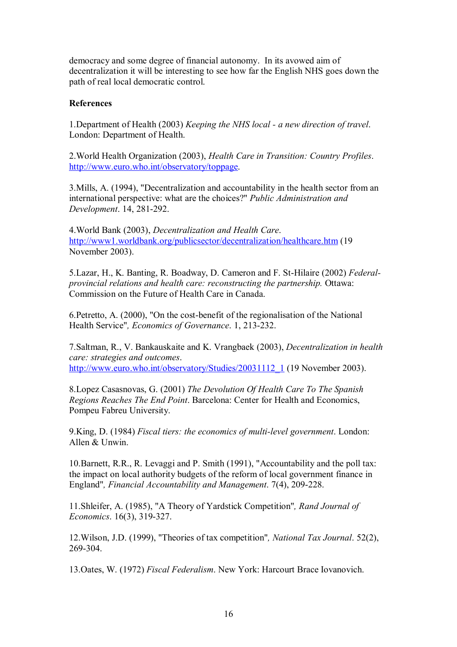democracy and some degree of financial autonomy. In its avowed aim of decentralization it will be interesting to see how far the English NHS goes down the path of real local democratic control.

### **References**

1.Department of Health (2003) *Keeping the NHS local - a new direction of travel*. London: Department of Health.

2.World Health Organization (2003), *Health Care in Transition: Country Profiles*. http://www.euro.who.int/observatory/toppage.

3.Mills, A. (1994), "Decentralization and accountability in the health sector from an international perspective: what are the choices?" *Public Administration and Development*. 14, 281-292.

4.World Bank (2003), *Decentralization and Health Care*. http://www1.worldbank.org/publicsector/decentralization/healthcare.htm (19 November 2003).

5.Lazar, H., K. Banting, R. Boadway, D. Cameron and F. St-Hilaire (2002) *Federalprovincial relations and health care: reconstructing the partnership.* Ottawa: Commission on the Future of Health Care in Canada.

6.Petretto, A. (2000), "On the cost-benefit of the regionalisation of the National Health Service"*, Economics of Governance*. 1, 213-232.

7.Saltman, R., V. Bankauskaite and K. Vrangbaek (2003), *Decentralization in health care: strategies and outcomes*. http://www.euro.who.int/observatory/Studies/20031112\_1 (19 November 2003).

8.Lopez Casasnovas, G. (2001) *The Devolution Of Health Care To The Spanish Regions Reaches The End Point*. Barcelona: Center for Health and Economics, Pompeu Fabreu University.

9.King, D. (1984) *Fiscal tiers: the economics of multi-level government*. London: Allen & Unwin.

10.Barnett, R.R., R. Levaggi and P. Smith (1991), "Accountability and the poll tax: the impact on local authority budgets of the reform of local government finance in England"*, Financial Accountability and Management*. 7(4), 209-228.

11.Shleifer, A. (1985), "A Theory of Yardstick Competition"*, Rand Journal of Economics*. 16(3), 319-327.

12.Wilson, J.D. (1999), "Theories of tax competition"*, National Tax Journal*. 52(2), 269-304.

13.Oates, W. (1972) *Fiscal Federalism*. New York: Harcourt Brace Iovanovich.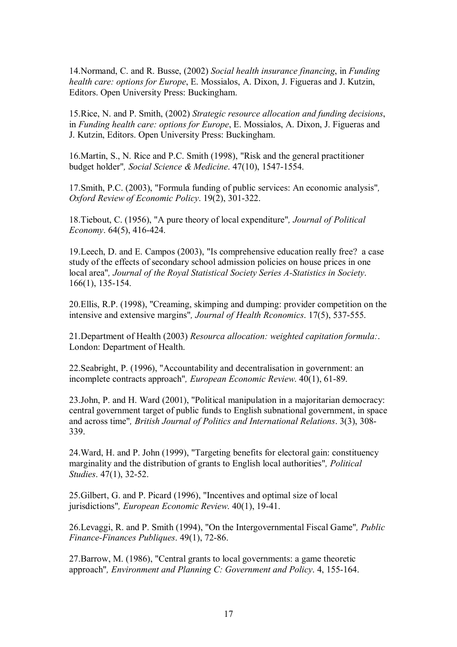14.Normand, C. and R. Busse, (2002) *Social health insurance financing*, in *Funding health care: options for Europe*, E. Mossialos, A. Dixon, J. Figueras and J. Kutzin, Editors. Open University Press: Buckingham.

15.Rice, N. and P. Smith, (2002) *Strategic resource allocation and funding decisions*, in *Funding health care: options for Europe*, E. Mossialos, A. Dixon, J. Figueras and J. Kutzin, Editors. Open University Press: Buckingham.

16.Martin, S., N. Rice and P.C. Smith (1998), "Risk and the general practitioner budget holder"*, Social Science & Medicine*. 47(10), 1547-1554.

17.Smith, P.C. (2003), "Formula funding of public services: An economic analysis"*, Oxford Review of Economic Policy*. 19(2), 301-322.

18.Tiebout, C. (1956), "A pure theory of local expenditure"*, Journal of Political Economy*. 64(5), 416-424.

19.Leech, D. and E. Campos (2003), "Is comprehensive education really free? a case study of the effects of secondary school admission policies on house prices in one local area"*, Journal of the Royal Statistical Society Series A-Statistics in Society*. 166(1), 135-154.

20.Ellis, R.P. (1998), "Creaming, skimping and dumping: provider competition on the intensive and extensive margins"*, Journal of Health Rconomics*. 17(5), 537-555.

21.Department of Health (2003) *Resourca allocation: weighted capitation formula:*. London: Department of Health.

22.Seabright, P. (1996), "Accountability and decentralisation in government: an incomplete contracts approach"*, European Economic Review*. 40(1), 61-89.

23.John, P. and H. Ward (2001), "Political manipulation in a majoritarian democracy: central government target of public funds to English subnational government, in space and across time"*, British Journal of Politics and International Relations*. 3(3), 308- 339.

24.Ward, H. and P. John (1999), "Targeting benefits for electoral gain: constituency marginality and the distribution of grants to English local authorities"*, Political Studies*. 47(1), 32-52.

25.Gilbert, G. and P. Picard (1996), "Incentives and optimal size of local jurisdictions"*, European Economic Review*. 40(1), 19-41.

26.Levaggi, R. and P. Smith (1994), "On the Intergovernmental Fiscal Game"*, Public Finance-Finances Publiques*. 49(1), 72-86.

27.Barrow, M. (1986), "Central grants to local governments: a game theoretic approach"*, Environment and Planning C: Government and Policy*. 4, 155-164.